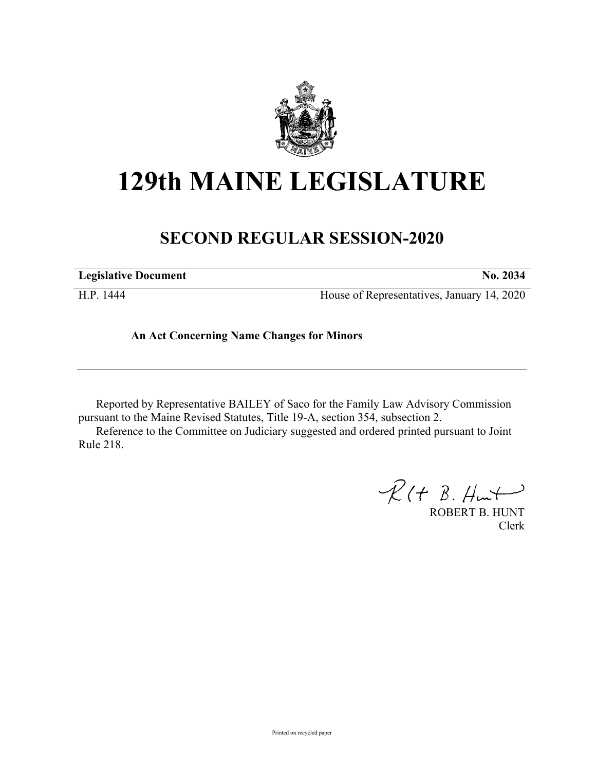

## **129th MAINE LEGISLATURE**

## **SECOND REGULAR SESSION-2020**

**Legislative Document No. 2034**

H.P. 1444 House of Representatives, January 14, 2020

**An Act Concerning Name Changes for Minors**

Reported by Representative BAILEY of Saco for the Family Law Advisory Commission pursuant to the Maine Revised Statutes, Title 19-A, section 354, subsection 2.

Reference to the Committee on Judiciary suggested and ordered printed pursuant to Joint Rule 218.

 $R(H B. H<sup>u</sup>)$ 

ROBERT B. HUNT Clerk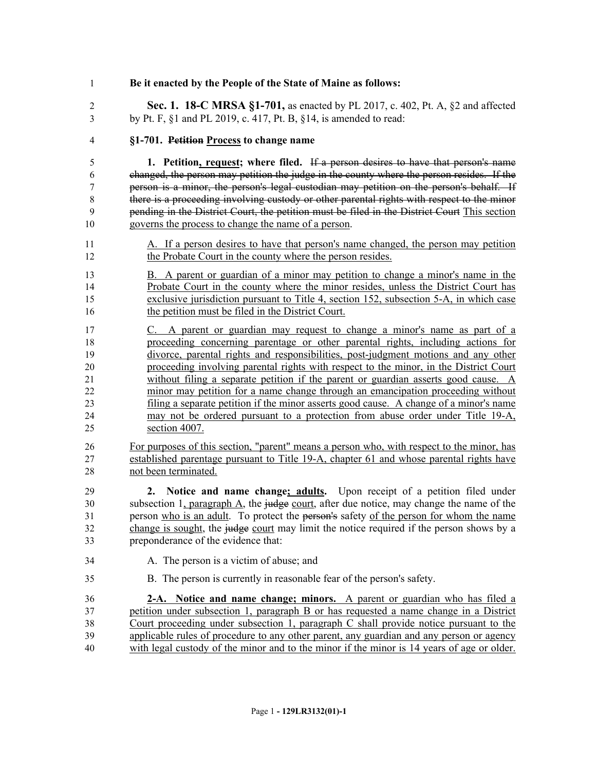| $\mathbf{1}$   | Be it enacted by the People of the State of Maine as follows:                                |
|----------------|----------------------------------------------------------------------------------------------|
| $\overline{2}$ | Sec. 1. 18-C MRSA §1-701, as enacted by PL 2017, c. 402, Pt. A, §2 and affected              |
| 3              | by Pt. F, §1 and PL 2019, c. 417, Pt. B, §14, is amended to read:                            |
| $\overline{4}$ | §1-701. Petition Process to change name                                                      |
| 5              | 1. Petition, request; where filed. If a person desires to have that person's name            |
| 6              | changed, the person may petition the judge in the county where the person resides. If the    |
| 7              | person is a minor, the person's legal custodian may petition on the person's behalf. If      |
| 8              | there is a proceeding involving custody or other parental rights with respect to the minor   |
| 9              | pending in the District Court, the petition must be filed in the District Court This section |
| 10             | governs the process to change the name of a person.                                          |
| 11             | A. If a person desires to have that person's name changed, the person may petition           |
| 12             | the Probate Court in the county where the person resides.                                    |
| 13             | B. A parent or guardian of a minor may petition to change a minor's name in the              |
| 14             | Probate Court in the county where the minor resides, unless the District Court has           |
| 15             | exclusive jurisdiction pursuant to Title 4, section 152, subsection 5-A, in which case       |
| 16             | the petition must be filed in the District Court.                                            |
| 17             | C. A parent or guardian may request to change a minor's name as part of a                    |
| 18             | proceeding concerning parentage or other parental rights, including actions for              |
| 19             | divorce, parental rights and responsibilities, post-judgment motions and any other           |
| 20             | proceeding involving parental rights with respect to the minor, in the District Court        |
| 21             | without filing a separate petition if the parent or guardian asserts good cause. A           |
| 22             | minor may petition for a name change through an emancipation proceeding without              |
| 23             | filing a separate petition if the minor asserts good cause. A change of a minor's name       |
| 24             | may not be ordered pursuant to a protection from abuse order under Title 19-A,               |
| 25             | section 4007.                                                                                |
| 26             | For purposes of this section, "parent" means a person who, with respect to the minor, has    |
| 27             | established parentage pursuant to Title 19-A, chapter 61 and whose parental rights have      |
| 28             | not been terminated.                                                                         |
| 29             | 2. Notice and name change; adults. Upon receipt of a petition filed under                    |
| 30             | subsection 1, paragraph A, the judge court, after due notice, may change the name of the     |
| 31             | person who is an adult. To protect the person's safety of the person for whom the name       |
| 32             | change is sought, the judge court may limit the notice required if the person shows by a     |
| 33             | preponderance of the evidence that:                                                          |
| 34             | A. The person is a victim of abuse; and                                                      |
| 35             | B. The person is currently in reasonable fear of the person's safety.                        |
| 36             | 2-A. Notice and name change; minors. A parent or guardian who has filed a                    |
| 37             | petition under subsection 1, paragraph B or has requested a name change in a District        |
| 38             | Court proceeding under subsection 1, paragraph $C$ shall provide notice pursuant to the      |
| 39             | applicable rules of procedure to any other parent, any guardian and any person or agency     |
| 40             | with legal custody of the minor and to the minor if the minor is 14 years of age or older.   |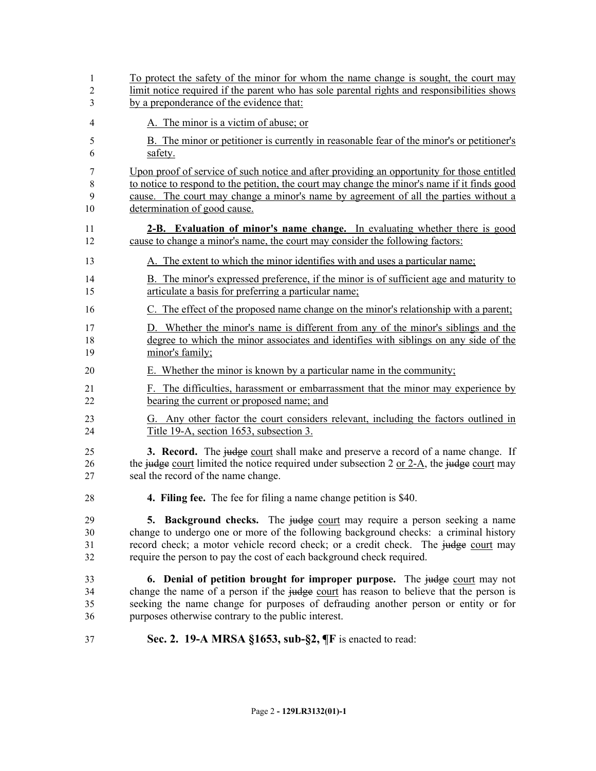| 1              | To protect the safety of the minor for whom the name change is sought, the court may                      |
|----------------|-----------------------------------------------------------------------------------------------------------|
| $\overline{2}$ | limit notice required if the parent who has sole parental rights and responsibilities shows               |
| 3              | by a preponderance of the evidence that:                                                                  |
| $\overline{4}$ | A. The minor is a victim of abuse; or                                                                     |
| 5              | B. The minor or petitioner is currently in reasonable fear of the minor's or petitioner's                 |
| 6              | safety.                                                                                                   |
| 7              | Upon proof of service of such notice and after providing an opportunity for those entitled                |
| 8              | to notice to respond to the petition, the court may change the minor's name if it finds good              |
| 9              | cause. The court may change a minor's name by agreement of all the parties without a                      |
| 10             | determination of good cause.                                                                              |
| 11             | 2-B. Evaluation of minor's name change. In evaluating whether there is good                               |
| 12             | cause to change a minor's name, the court may consider the following factors:                             |
| 13             | A. The extent to which the minor identifies with and uses a particular name;                              |
| 14             | B. The minor's expressed preference, if the minor is of sufficient age and maturity to                    |
| 15             | articulate a basis for preferring a particular name;                                                      |
| 16             | C. The effect of the proposed name change on the minor's relationship with a parent;                      |
| 17             | D. Whether the minor's name is different from any of the minor's siblings and the                         |
| 18             | degree to which the minor associates and identifies with siblings on any side of the                      |
| 19             | minor's family;                                                                                           |
| 20             | E. Whether the minor is known by a particular name in the community;                                      |
| 21             | F. The difficulties, harassment or embarrassment that the minor may experience by                         |
| 22             | bearing the current or proposed name; and                                                                 |
| 23             | G. Any other factor the court considers relevant, including the factors outlined in                       |
| 24             | Title 19-A, section 1653, subsection 3.                                                                   |
| 25             | <b>3. Record.</b> The judge court shall make and preserve a record of a name change. If                   |
| 26             | the judge court limited the notice required under subsection 2 or $2-\underline{A}$ , the judge court may |
| 27             | seal the record of the name change.                                                                       |
| 28             | <b>4. Filing fee.</b> The fee for filing a name change petition is \$40.                                  |
| 29             | 5. Background checks. The judge court may require a person seeking a name                                 |
| 30             | change to undergo one or more of the following background checks: a criminal history                      |
| 31             | record check; a motor vehicle record check; or a credit check. The judge court may                        |
| 32             | require the person to pay the cost of each background check required.                                     |
| 33             | 6. Denial of petition brought for improper purpose. The judge court may not                               |
| 34             | change the name of a person if the judge court has reason to believe that the person is                   |
| 35             | seeking the name change for purposes of defrauding another person or entity or for                        |
| 36             | purposes otherwise contrary to the public interest.                                                       |